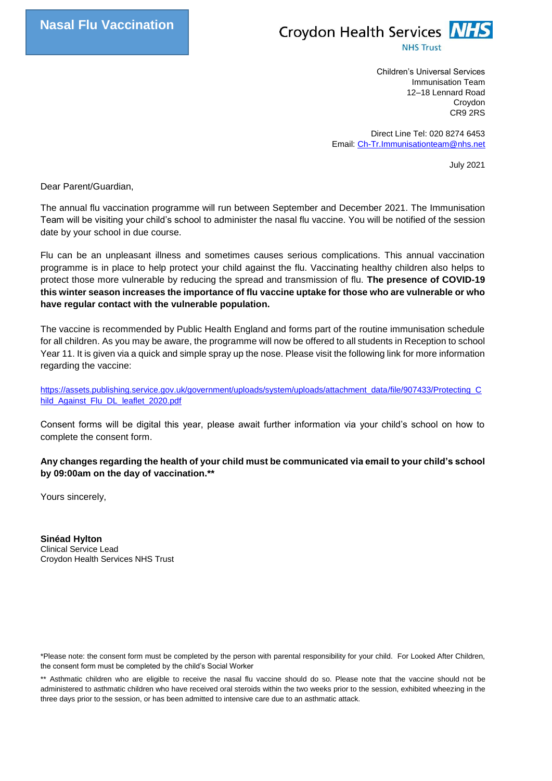

Children's Universal Services Immunisation Team 12–18 Lennard Road Croydon CR9 2RS

Direct Line Tel: 020 8274 6453 Email[: Ch-Tr.Immunisationteam@nhs.net](mailto:Ch-Tr.Immunisationteam@nhs.net)

July 2021

Dear Parent/Guardian,

The annual flu vaccination programme will run between September and December 2021. The Immunisation Team will be visiting your child's school to administer the nasal flu vaccine. You will be notified of the session date by your school in due course.

Flu can be an unpleasant illness and sometimes causes serious complications. This annual vaccination programme is in place to help protect your child against the flu. Vaccinating healthy children also helps to protect those more vulnerable by reducing the spread and transmission of flu. **The presence of COVID-19 this winter season increases the importance of flu vaccine uptake for those who are vulnerable or who have regular contact with the vulnerable population.**

The vaccine is recommended by Public Health England and forms part of the routine immunisation schedule for all children. As you may be aware, the programme will now be offered to all students in Reception to school Year 11. It is given via a quick and simple spray up the nose. Please visit the following link for more information regarding the vaccine:

[https://assets.publishing.service.gov.uk/government/uploads/system/uploads/attachment\\_data/file/907433/Protecting\\_C](https://assets.publishing.service.gov.uk/government/uploads/system/uploads/attachment_data/file/907433/Protecting_Child_Against_Flu_DL_leaflet_2020.pdf) [hild\\_Against\\_Flu\\_DL\\_leaflet\\_2020.pdf](https://assets.publishing.service.gov.uk/government/uploads/system/uploads/attachment_data/file/907433/Protecting_Child_Against_Flu_DL_leaflet_2020.pdf)

Consent forms will be digital this year, please await further information via your child's school on how to complete the consent form.

**Any changes regarding the health of your child must be communicated via email to your child's school by 09:00am on the day of vaccination.\*\***

Yours sincerely,

**Sinéad Hylton** Clinical Service Lead Croydon Health Services NHS Trust

\*Please note: the consent form must be completed by the person with parental responsibility for your child. For Looked After Children, the consent form must be completed by the child's Social Worker

\*\* Asthmatic children who are eligible to receive the nasal flu vaccine should do so. Please note that the vaccine should not be administered to asthmatic children who have received oral steroids within the two weeks prior to the session, exhibited wheezing in the three days prior to the session, or has been admitted to intensive care due to an asthmatic attack.